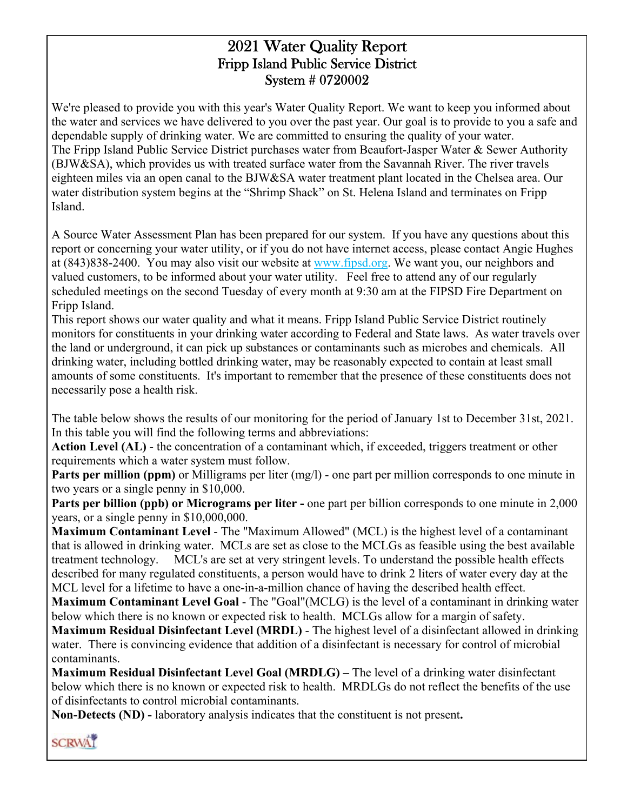## 2021 Water Quality Report Fripp Island Public Service District System # 0720002

We're pleased to provide you with this year's Water Quality Report. We want to keep you informed about the water and services we have delivered to you over the past year. Our goal is to provide to you a safe and dependable supply of drinking water. We are committed to ensuring the quality of your water. The Fripp Island Public Service District purchases water from Beaufort-Jasper Water & Sewer Authority (BJW&SA), which provides us with treated surface water from the Savannah River. The river travels eighteen miles via an open canal to the BJW&SA water treatment plant located in the Chelsea area. Our water distribution system begins at the "Shrimp Shack" on St. Helena Island and terminates on Fripp Island.

A Source Water Assessment Plan has been prepared for our system. If you have any questions about this report or concerning your water utility, or if you do not have internet access, please contact Angie Hughes at (843)838-2400. You may also visit our website at www.fipsd.org. We want you, our neighbors and valued customers, to be informed about your water utility. Feel free to attend any of our regularly scheduled meetings on the second Tuesday of every month at 9:30 am at the FIPSD Fire Department on Fripp Island.

This report shows our water quality and what it means. Fripp Island Public Service District routinely monitors for constituents in your drinking water according to Federal and State laws. As water travels over the land or underground, it can pick up substances or contaminants such as microbes and chemicals. All drinking water, including bottled drinking water, may be reasonably expected to contain at least small amounts of some constituents. It's important to remember that the presence of these constituents does not necessarily pose a health risk.

The table below shows the results of our monitoring for the period of January 1st to December 31st, 2021. In this table you will find the following terms and abbreviations:

**Action Level (AL)** - the concentration of a contaminant which, if exceeded, triggers treatment or other requirements which a water system must follow.

**Parts per million (ppm)** or Milligrams per liter (mg/l) - one part per million corresponds to one minute in two years or a single penny in \$10,000.

**Parts per billion (ppb) or Micrograms per liter -** one part per billion corresponds to one minute in 2,000 years, or a single penny in \$10,000,000.

**Maximum Contaminant Level** - The "Maximum Allowed" (MCL) is the highest level of a contaminant that is allowed in drinking water. MCLs are set as close to the MCLGs as feasible using the best available treatment technology. MCL's are set at very stringent levels. To understand the possible health effects described for many regulated constituents, a person would have to drink 2 liters of water every day at the MCL level for a lifetime to have a one-in-a-million chance of having the described health effect.

**Maximum Contaminant Level Goal** - The "Goal"(MCLG) is the level of a contaminant in drinking water below which there is no known or expected risk to health. MCLGs allow for a margin of safety.

**Maximum Residual Disinfectant Level (MRDL)** - The highest level of a disinfectant allowed in drinking water. There is convincing evidence that addition of a disinfectant is necessary for control of microbial contaminants.

**Maximum Residual Disinfectant Level Goal (MRDLG) –** The level of a drinking water disinfectant below which there is no known or expected risk to health. MRDLGs do not reflect the benefits of the use of disinfectants to control microbial contaminants.

**Non-Detects (ND) -** laboratory analysis indicates that the constituent is not present**.** 

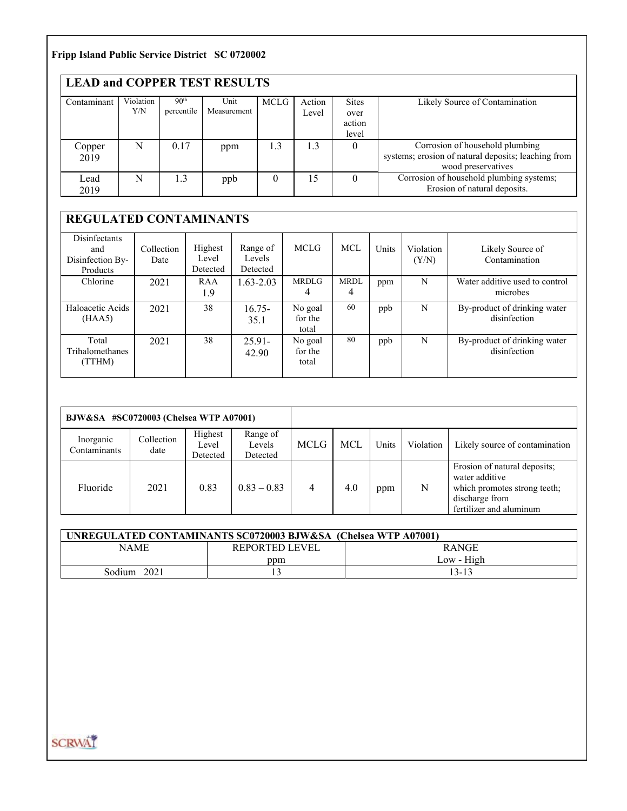### **Fripp Island Public Service District SC 0720002**

| <b>LEAD and COPPER TEST RESULTS</b> |                  |                                |                     |          |                 |                                         |                                                                                                              |
|-------------------------------------|------------------|--------------------------------|---------------------|----------|-----------------|-----------------------------------------|--------------------------------------------------------------------------------------------------------------|
| Contaminant                         | Violation<br>Y/N | 90 <sup>th</sup><br>percentile | Unit<br>Measurement | MCLG     | Action<br>Level | <b>Sites</b><br>over<br>action<br>level | Likely Source of Contamination                                                                               |
| Copper<br>2019                      | N                | 0.17                           | ppm                 | 1.3      | 1.3             | $\theta$                                | Corrosion of household plumbing<br>systems; erosion of natural deposits; leaching from<br>wood preservatives |
| Lead<br>2019                        | N                | 1.3                            | ppb                 | $\theta$ | 15              |                                         | Corrosion of household plumbing systems;<br>Erosion of natural deposits.                                     |

# **REGULATED CONTAMINANTS**

| Disinfectants<br>and<br>Disinfection By-<br>Products | Collection<br>Date | Highest<br>Level<br>Detected | Range of<br>Levels<br>Detected | MCLG                        | <b>MCL</b>       | Units | Violation<br>(Y/N) | Likely Source of<br>Contamination            |
|------------------------------------------------------|--------------------|------------------------------|--------------------------------|-----------------------------|------------------|-------|--------------------|----------------------------------------------|
| Chlorine                                             | 2021               | RAA<br>1.9                   | $1.63 - 2.03$                  | <b>MRDLG</b><br>4           | <b>MRDL</b><br>4 | ppm   | N                  | Water additive used to control<br>microbes   |
| Haloacetic Acids<br>(HAA5)                           | 2021               | 38                           | $16.75 -$<br>35.1              | No goal<br>for the<br>total | 60               | ppb   | N                  | By-product of drinking water<br>disinfection |
| Total<br>Trihalomethanes<br>(TTHM)                   | 2021               | 38                           | $25.91 -$<br>42.90             | No goal<br>for the<br>total | 80               | ppb   | N                  | By-product of drinking water<br>disinfection |

| BJW&SA #SC0720003 (Chelsea WTP A07001) |                    |                              |                                |             |     |       |           |                                                                                                                             |
|----------------------------------------|--------------------|------------------------------|--------------------------------|-------------|-----|-------|-----------|-----------------------------------------------------------------------------------------------------------------------------|
| Inorganic<br>Contaminants              | Collection<br>date | Highest<br>Level<br>Detected | Range of<br>Levels<br>Detected | <b>MCLG</b> | MCL | Units | Violation | Likely source of contamination                                                                                              |
| Fluoride                               | 2021               | 0.83                         | $0.83 - 0.83$                  | 4           | 4.0 | ppm   | N         | Erosion of natural deposits;<br>water additive<br>which promotes strong teeth;<br>discharge from<br>fertilizer and aluminum |

| UNREGULATED CONTAMINANTS SC0720003 BJW&SA (Chelsea WTP A07001) |                |              |  |  |  |
|----------------------------------------------------------------|----------------|--------------|--|--|--|
| <b>NAME</b>                                                    | REPORTED LEVEL | <b>RANGE</b> |  |  |  |
|                                                                | ppm            | Low - High   |  |  |  |
| Sodium<br>2021                                                 |                | 13-13        |  |  |  |